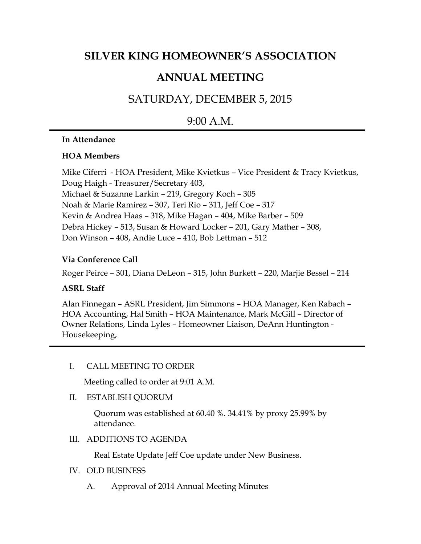# **SILVER KING HOMEOWNER'S ASSOCIATION**

## **ANNUAL MEETING**

# SATURDAY, DECEMBER 5, 2015

### 9:00 A.M.

#### **In Attendance**

#### **HOA Members**

Mike Ciferri - HOA President, Mike Kvietkus – Vice President & Tracy Kvietkus, Doug Haigh - Treasurer/Secretary 403, Michael & Suzanne Larkin – 219, Gregory Koch – 305 Noah & Marie Ramirez – 307, Teri Rio – 311, Jeff Coe – 317 Kevin & Andrea Haas – 318, Mike Hagan – 404, Mike Barber – 509 Debra Hickey – 513, Susan & Howard Locker – 201, Gary Mather – 308, Don Winson – 408, Andie Luce – 410, Bob Lettman – 512

### **Via Conference Call**

Roger Peirce – 301, Diana DeLeon – 315, John Burkett – 220, Marjie Bessel – 214

### **ASRL Staff**

Alan Finnegan – ASRL President, Jim Simmons – HOA Manager, Ken Rabach – HOA Accounting, Hal Smith – HOA Maintenance, Mark McGill – Director of Owner Relations, Linda Lyles – Homeowner Liaison, DeAnn Huntington - Housekeeping,

I. CALL MEETING TO ORDER

Meeting called to order at 9:01 A.M.

II. ESTABLISH QUORUM

Quorum was established at 60.40 %. 34.41% by proxy 25.99% by attendance.

III. ADDITIONS TO AGENDA

Real Estate Update Jeff Coe update under New Business.

- IV. OLD BUSINESS
	- A. Approval of 2014 Annual Meeting Minutes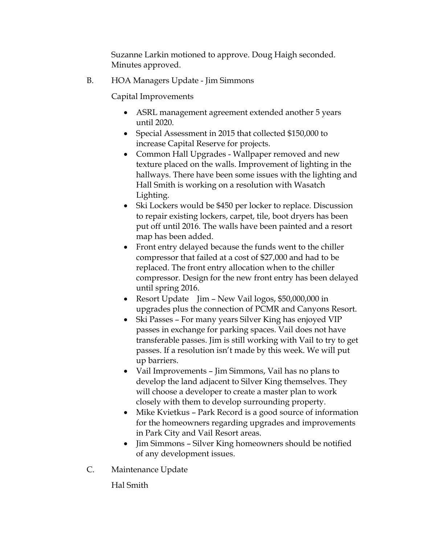Suzanne Larkin motioned to approve. Doug Haigh seconded. Minutes approved.

B. HOA Managers Update - Jim Simmons

Capital Improvements

- ASRL management agreement extended another 5 years until 2020.
- Special Assessment in 2015 that collected \$150,000 to increase Capital Reserve for projects.
- Common Hall Upgrades Wallpaper removed and new texture placed on the walls. Improvement of lighting in the hallways. There have been some issues with the lighting and Hall Smith is working on a resolution with Wasatch Lighting.
- Ski Lockers would be \$450 per locker to replace. Discussion to repair existing lockers, carpet, tile, boot dryers has been put off until 2016. The walls have been painted and a resort map has been added.
- Front entry delayed because the funds went to the chiller compressor that failed at a cost of \$27,000 and had to be replaced. The front entry allocation when to the chiller compressor. Design for the new front entry has been delayed until spring 2016.
- Resort Update Jim New Vail logos, \$50,000,000 in upgrades plus the connection of PCMR and Canyons Resort.
- Ski Passes For many years Silver King has enjoyed VIP passes in exchange for parking spaces. Vail does not have transferable passes. Jim is still working with Vail to try to get passes. If a resolution isn't made by this week. We will put up barriers.
- Vail Improvements Jim Simmons, Vail has no plans to develop the land adjacent to Silver King themselves. They will choose a developer to create a master plan to work closely with them to develop surrounding property.
- Mike Kvietkus Park Record is a good source of information for the homeowners regarding upgrades and improvements in Park City and Vail Resort areas.
- Jim Simmons Silver King homeowners should be notified of any development issues.
- C. Maintenance Update

Hal Smith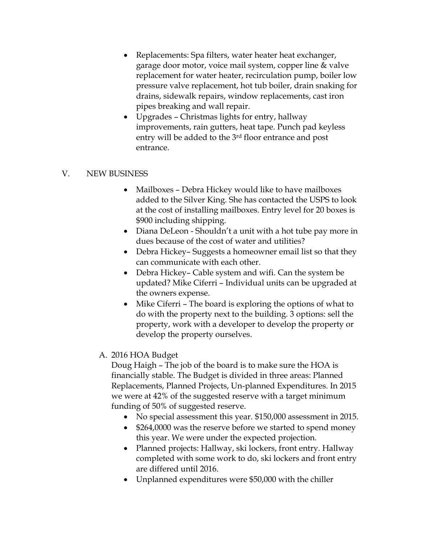- Replacements: Spa filters, water heater heat exchanger, garage door motor, voice mail system, copper line & valve replacement for water heater, recirculation pump, boiler low pressure valve replacement, hot tub boiler, drain snaking for drains, sidewalk repairs, window replacements, cast iron pipes breaking and wall repair.
- Upgrades Christmas lights for entry, hallway improvements, rain gutters, heat tape. Punch pad keyless entry will be added to the 3rd floor entrance and post entrance.

#### V. NEW BUSINESS

- Mailboxes Debra Hickey would like to have mailboxes added to the Silver King. She has contacted the USPS to look at the cost of installing mailboxes. Entry level for 20 boxes is \$900 including shipping.
- Diana DeLeon Shouldn't a unit with a hot tube pay more in dues because of the cost of water and utilities?
- Debra Hickey– Suggests a homeowner email list so that they can communicate with each other.
- Debra Hickey– Cable system and wifi. Can the system be updated? Mike Ciferri – Individual units can be upgraded at the owners expense.
- Mike Ciferri The board is exploring the options of what to do with the property next to the building. 3 options: sell the property, work with a developer to develop the property or develop the property ourselves.
- A. 2016 HOA Budget

Doug Haigh – The job of the board is to make sure the HOA is financially stable. The Budget is divided in three areas: Planned Replacements, Planned Projects, Un-planned Expenditures. In 2015 we were at 42% of the suggested reserve with a target minimum funding of 50% of suggested reserve.

- No special assessment this year. \$150,000 assessment in 2015.
- \$264,0000 was the reserve before we started to spend money this year. We were under the expected projection.
- Planned projects: Hallway, ski lockers, front entry. Hallway completed with some work to do, ski lockers and front entry are differed until 2016.
- Unplanned expenditures were \$50,000 with the chiller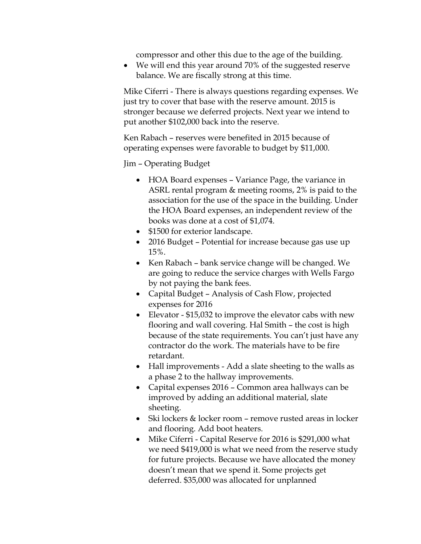compressor and other this due to the age of the building.

• We will end this year around 70% of the suggested reserve balance. We are fiscally strong at this time.

Mike Ciferri - There is always questions regarding expenses. We just try to cover that base with the reserve amount. 2015 is stronger because we deferred projects. Next year we intend to put another \$102,000 back into the reserve.

Ken Rabach – reserves were benefited in 2015 because of operating expenses were favorable to budget by \$11,000.

Jim – Operating Budget

- HOA Board expenses Variance Page, the variance in ASRL rental program & meeting rooms, 2% is paid to the association for the use of the space in the building. Under the HOA Board expenses, an independent review of the books was done at a cost of \$1,074.
- \$1500 for exterior landscape.
- 2016 Budget Potential for increase because gas use up 15%.
- Ken Rabach bank service change will be changed. We are going to reduce the service charges with Wells Fargo by not paying the bank fees.
- Capital Budget Analysis of Cash Flow, projected expenses for 2016
- Elevator \$15,032 to improve the elevator cabs with new flooring and wall covering. Hal Smith – the cost is high because of the state requirements. You can't just have any contractor do the work. The materials have to be fire retardant.
- Hall improvements Add a slate sheeting to the walls as a phase 2 to the hallway improvements.
- Capital expenses 2016 Common area hallways can be improved by adding an additional material, slate sheeting.
- Ski lockers & locker room remove rusted areas in locker and flooring. Add boot heaters.
- Mike Ciferri Capital Reserve for 2016 is \$291,000 what we need \$419,000 is what we need from the reserve study for future projects. Because we have allocated the money doesn't mean that we spend it. Some projects get deferred. \$35,000 was allocated for unplanned